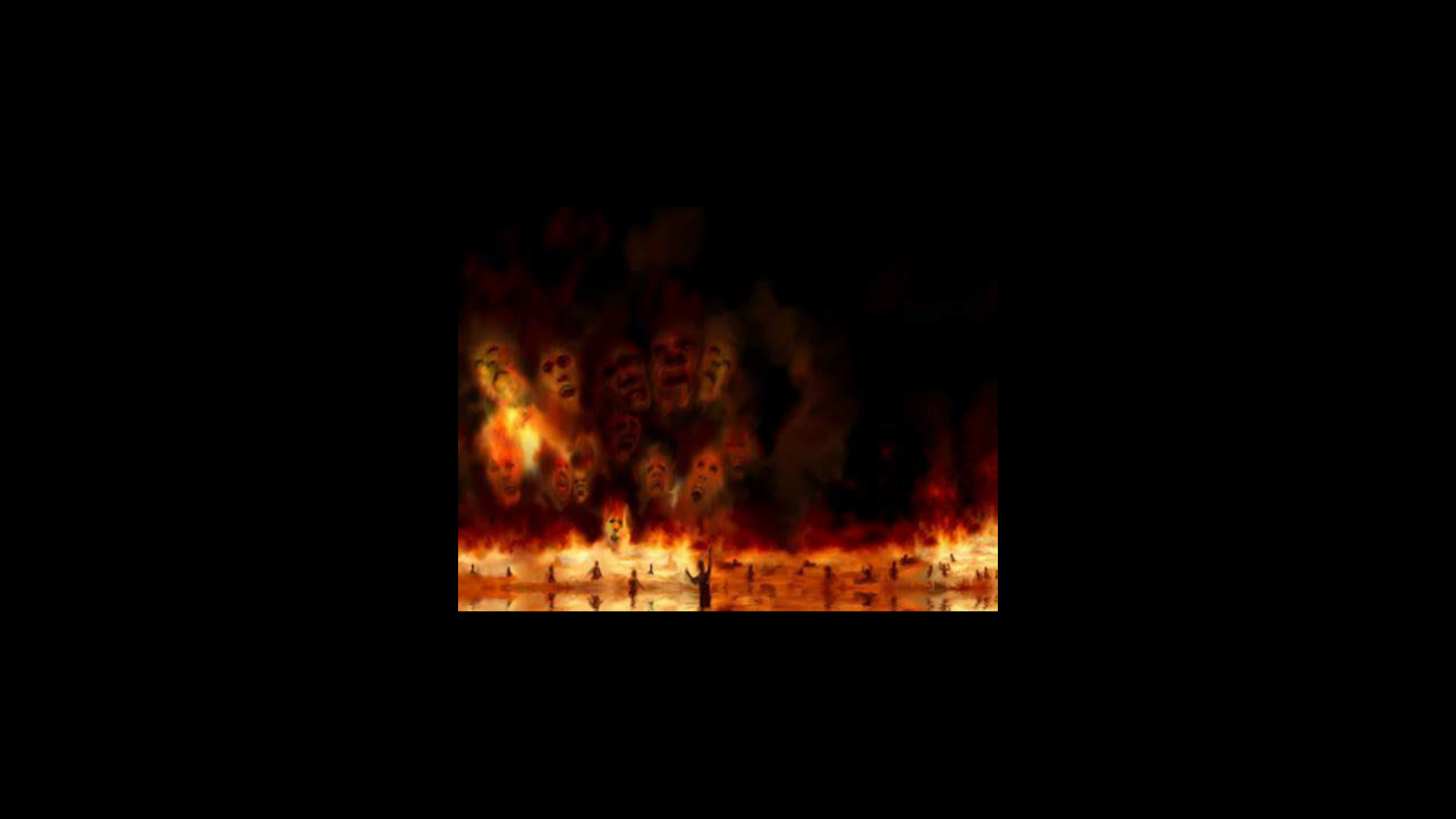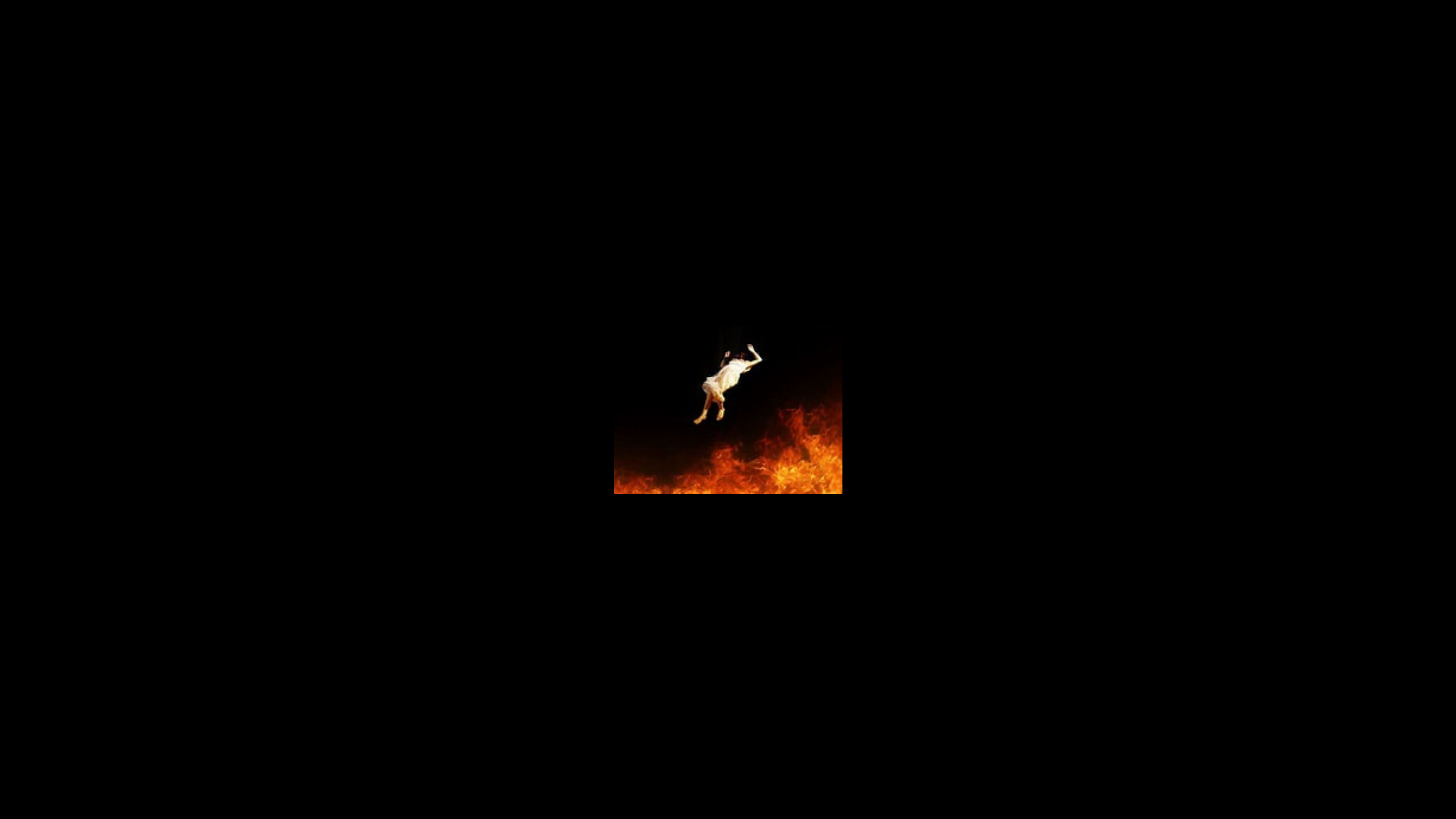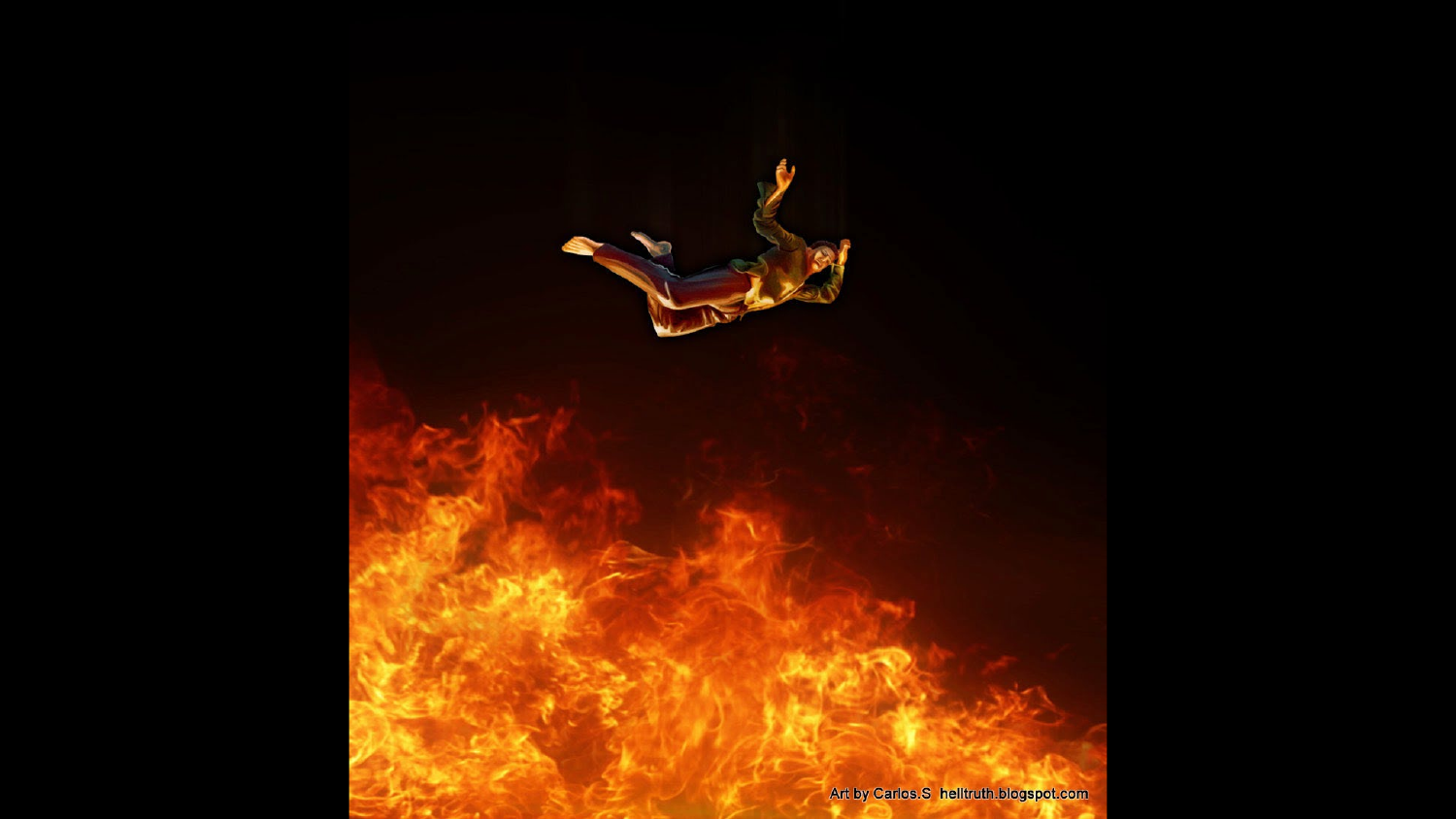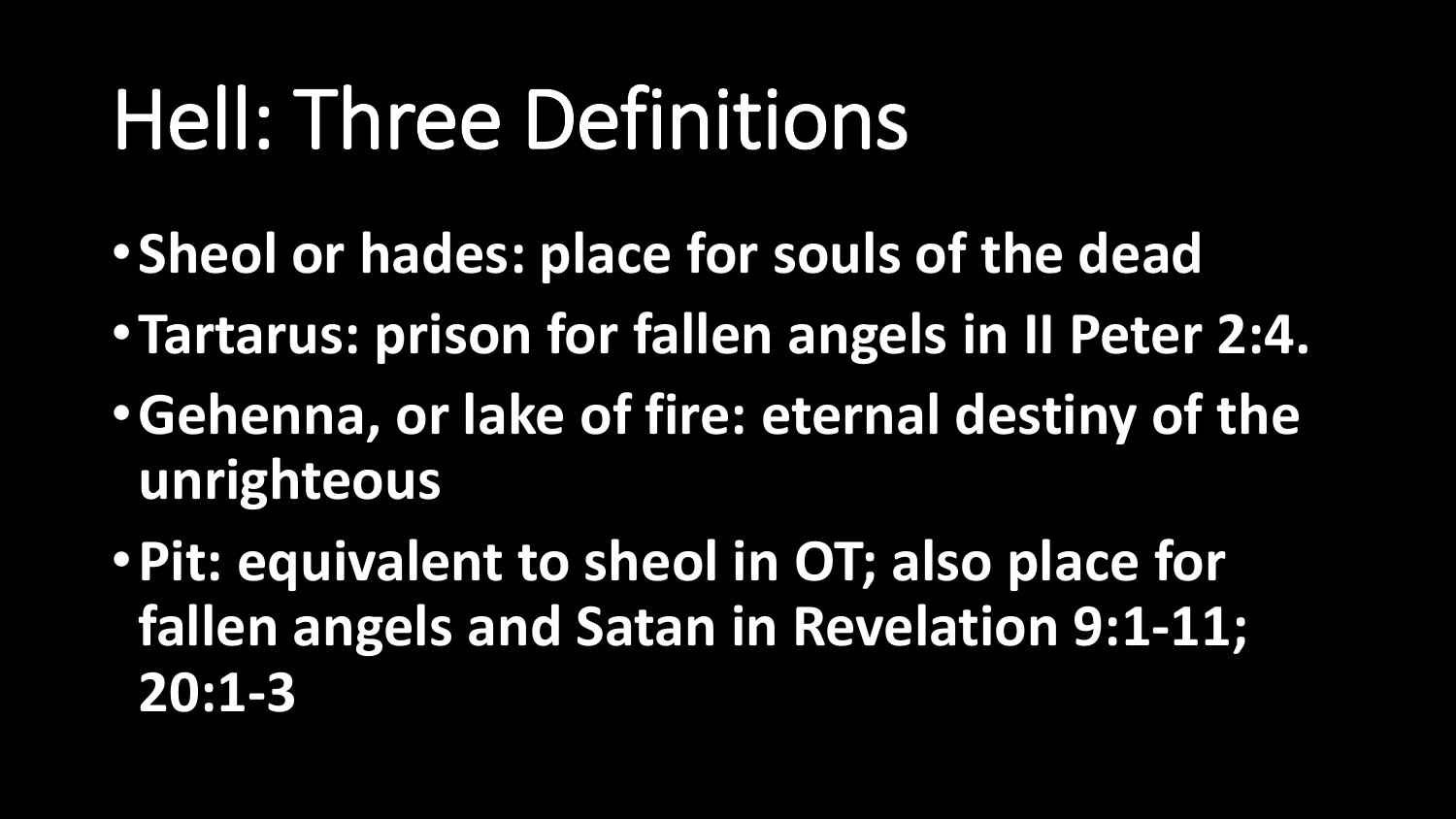## Hell: Three Definitions

- •**Sheol or hades: place for souls of the dead**
- •**Tartarus: prison for fallen angels in II Peter 2:4.**
- •**Gehenna, or lake of fire: eternal destiny of the unrighteous**
- •**Pit: equivalent to sheol in OT; also place for fallen angels and Satan in Revelation 9:1-11; 20:1-3**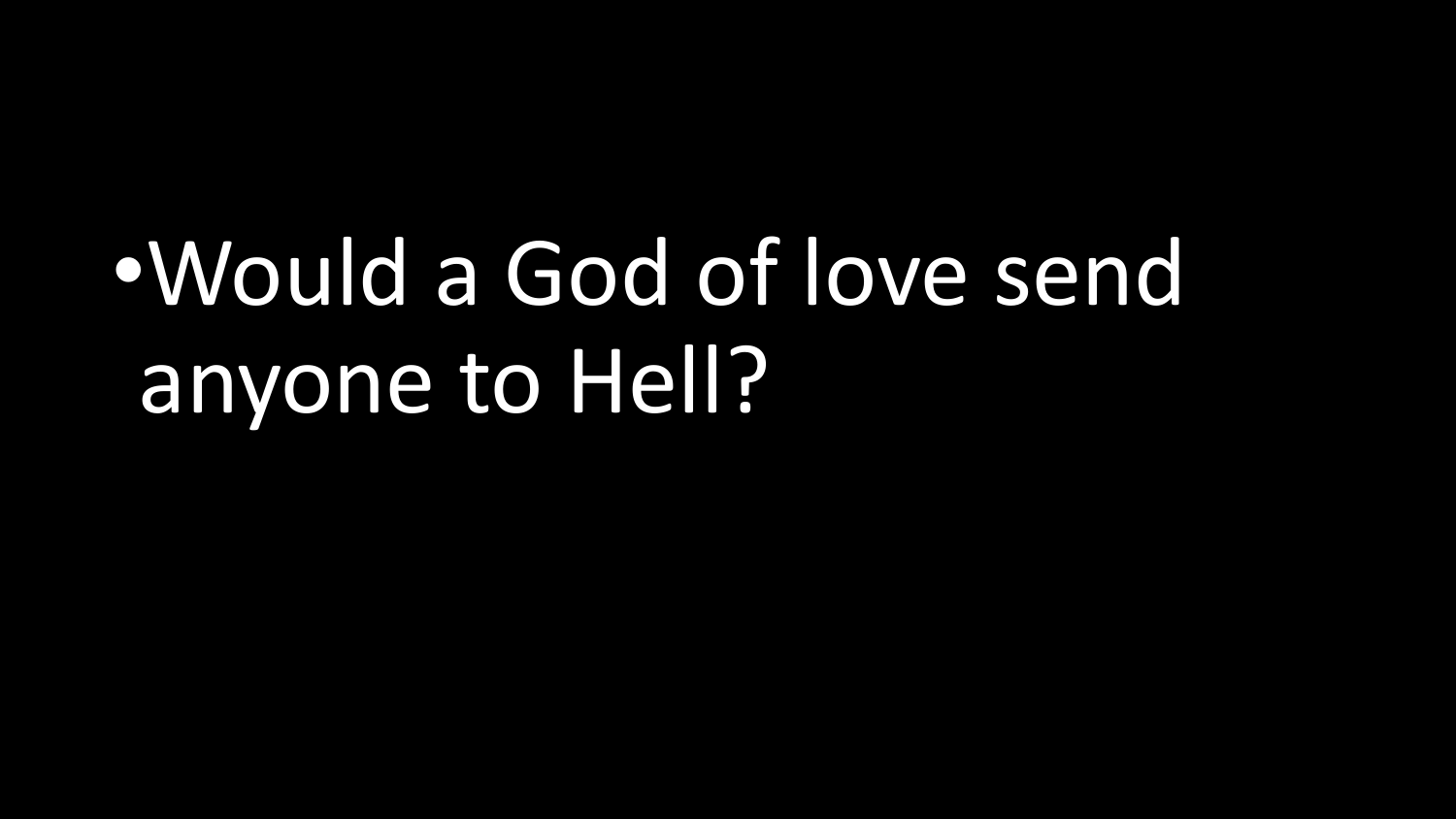# •Would a God of love send anyone to Hell?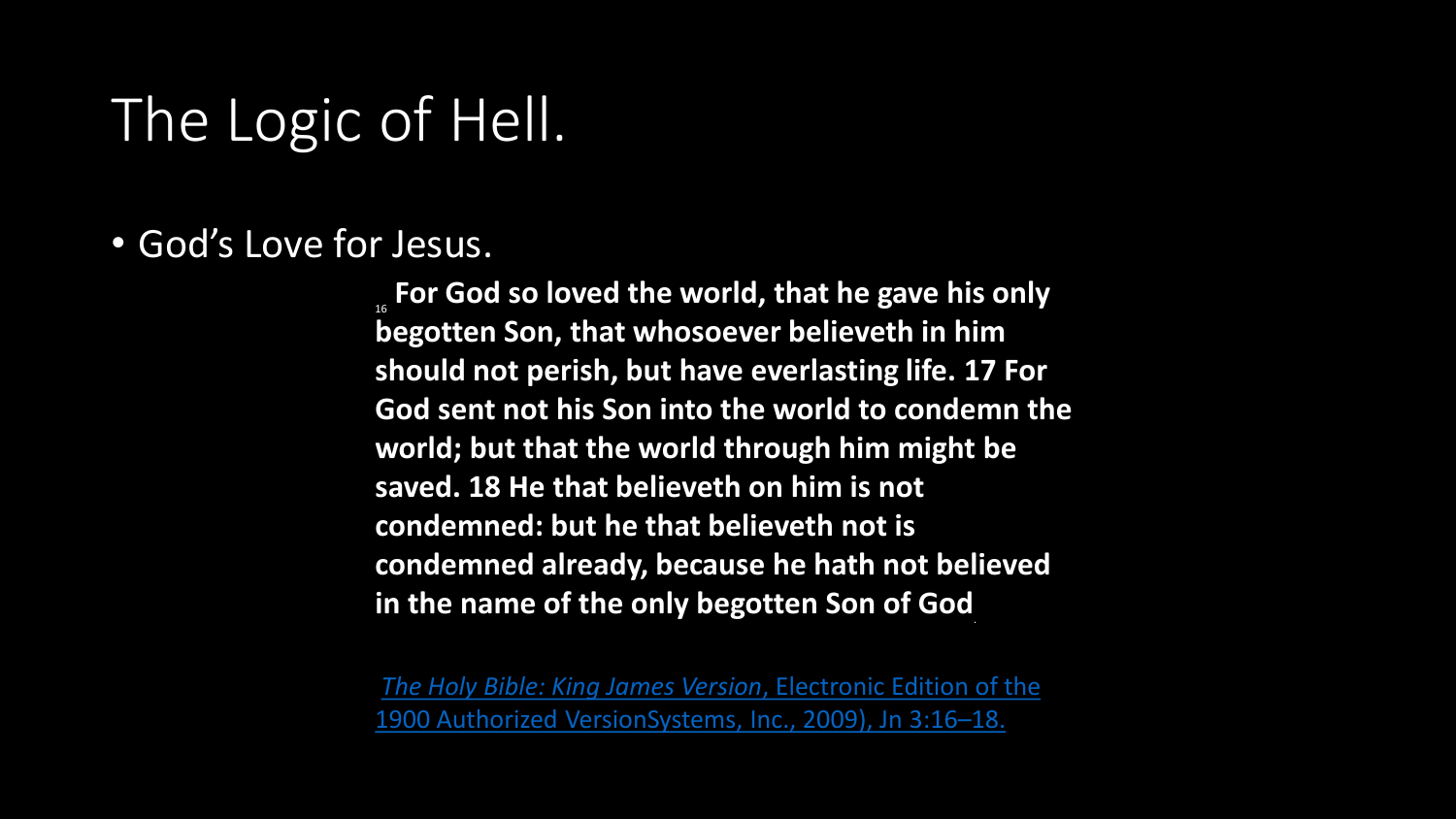## The Logic of Hell.

• God's Love for Jesus.

 $\frac{1}{16}$  For God so loved the world, that he gave his only **begotten Son, that whosoever believeth in him should not perish, but have everlasting life. 17 For God sent not his Son into the world to condemn the world; but that the world through him might be saved. 18 He that believeth on him is not condemned: but he that believeth not is condemned already, because he hath not believed in the name of the only begotten Son of God**.

*The Holy Bible: King James Version*, Electronic Edition of the [1900 Authorized VersionSystems, Inc., 2009\), Jn 3:16–18.](https://ref.ly/logosres/kjv1900?ref=BibleKJV.Jn3.16&off=0&ctx=%EF%BB%BFhave+eternal+life.+%7E16%C2%A0For+z%EF%BB%BFGod+so+love)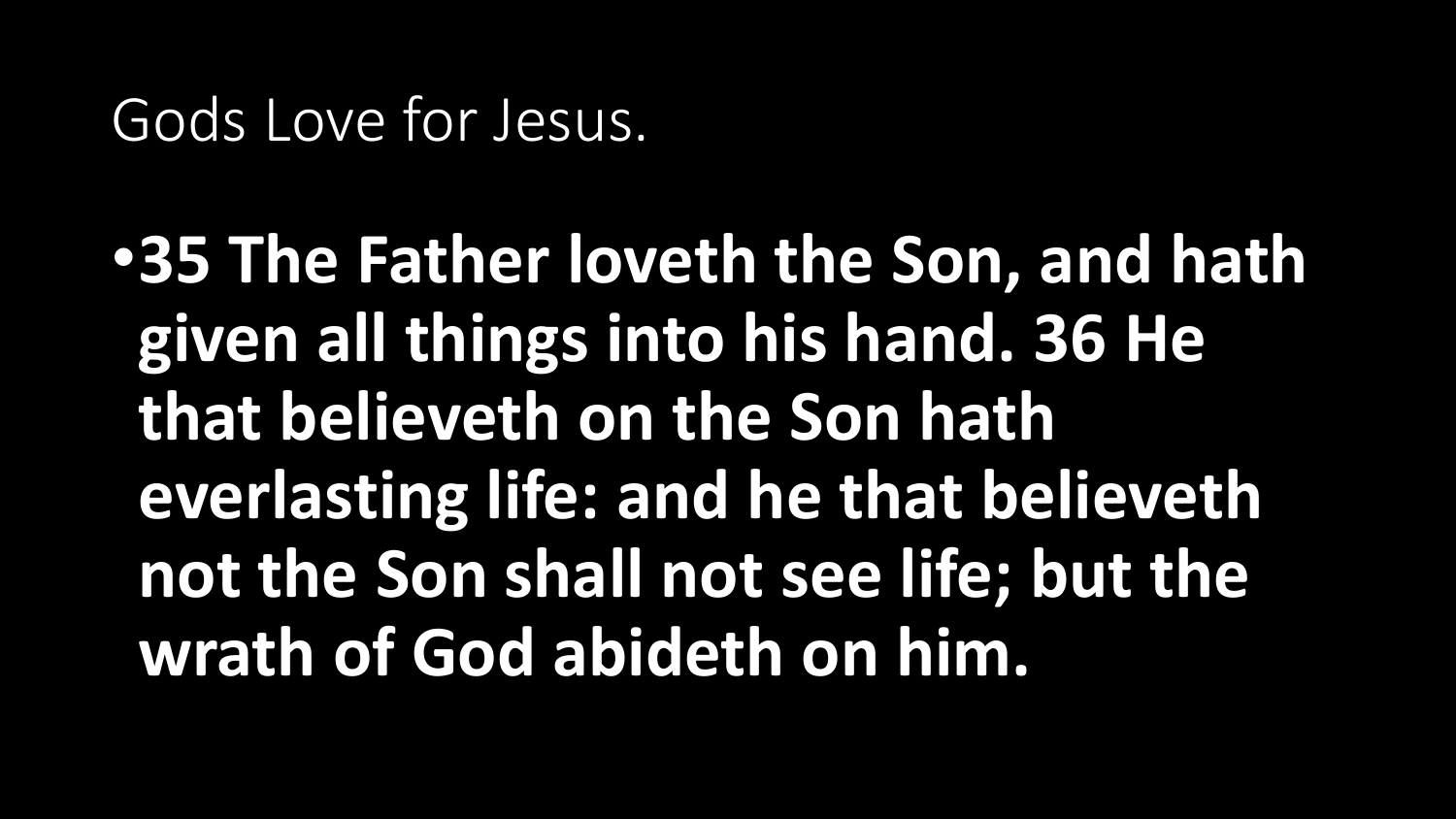#### Gods Love for Jesus.

•**35 The Father loveth the Son, and hath given all things into his hand. 36 He that believeth on the Son hath everlasting life: and he that believeth not the Son shall not see life; but the wrath of God abideth on him.**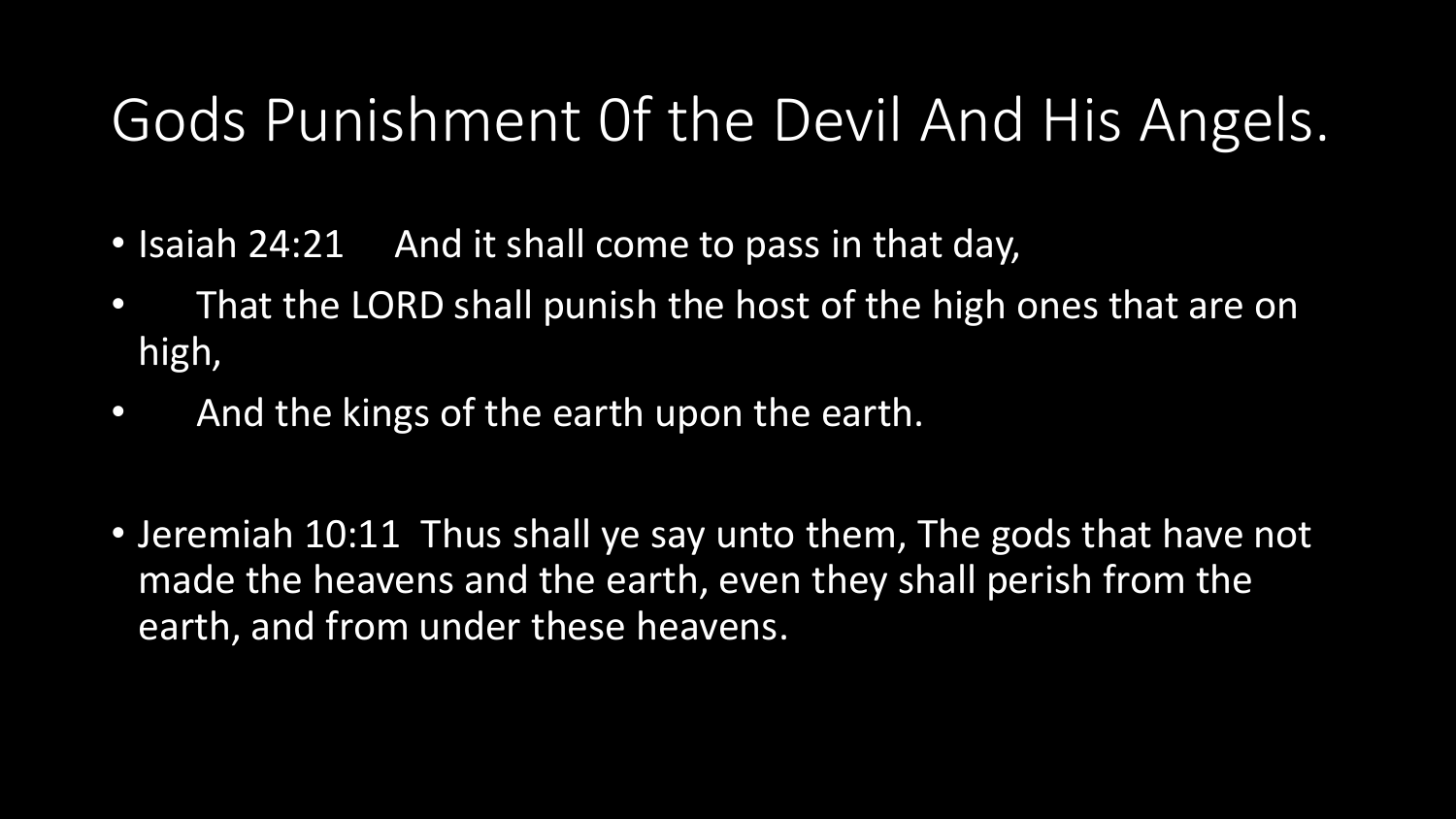## Gods Punishment 0f the Devil And His Angels.

- Isaiah 24:21 And it shall come to pass in that day,
- That the LORD shall punish the host of the high ones that are on high,
- And the kings of the earth upon the earth.
- Jeremiah 10:11 Thus shall ye say unto them, The gods that have not made the heavens and the earth, even they shall perish from the earth, and from under these heavens.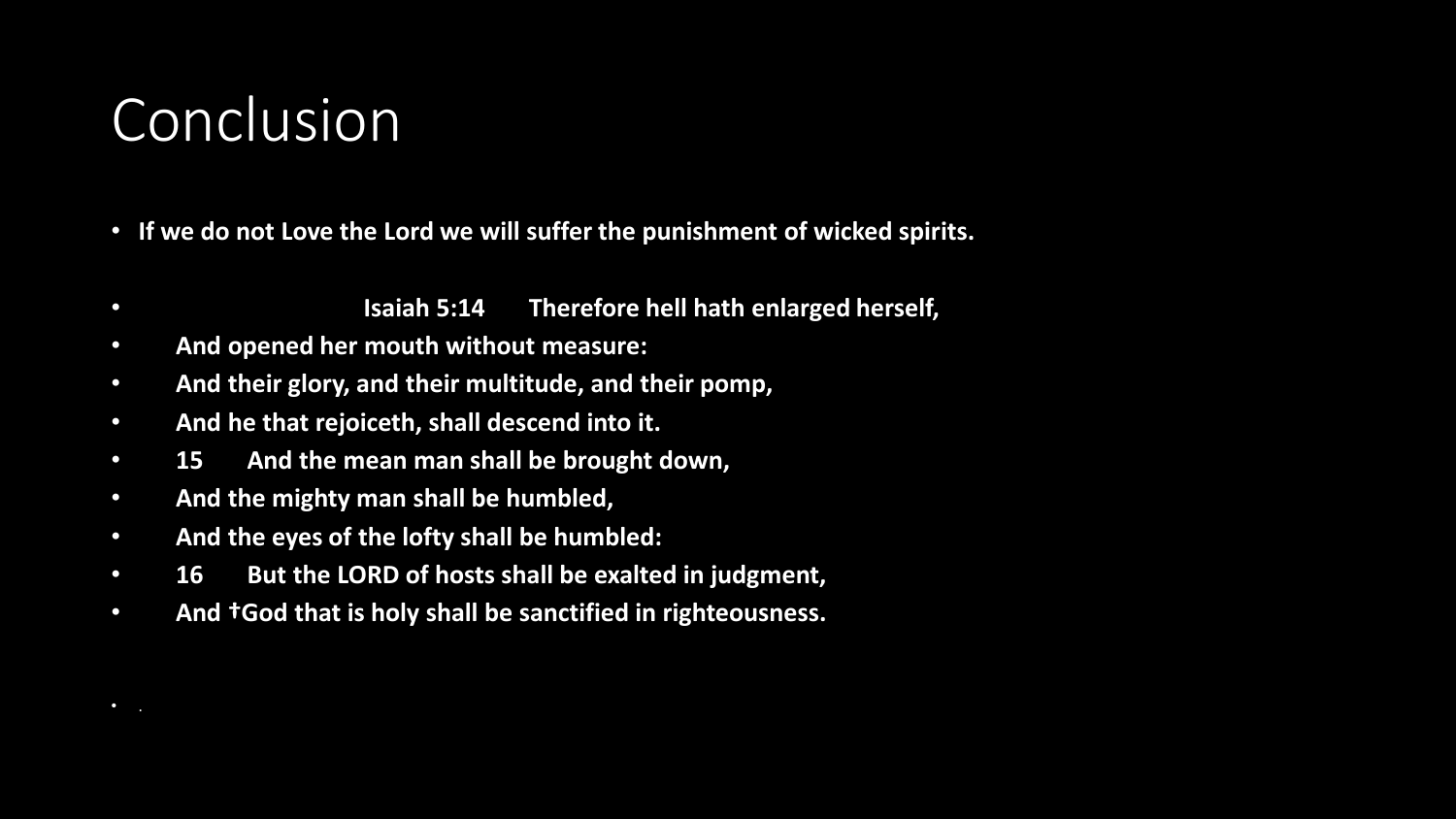### Conclusion

- **If we do not Love the Lord we will suffer the punishment of wicked spirits.**
- **Isaiah 5:14 Therefore hell hath enlarged herself,**
- **And opened her mouth without measure:**
- **And their glory, and their multitude, and their pomp,**
- **And he that rejoiceth, shall descend into it.**
- **15 And the mean man shall be brought down,**
- **And the mighty man shall be humbled,**
- **And the eyes of the lofty shall be humbled:**
- **16 But the LORD of hosts shall be exalted in judgment,**
- **And †God that is holy shall be sanctified in righteousness.**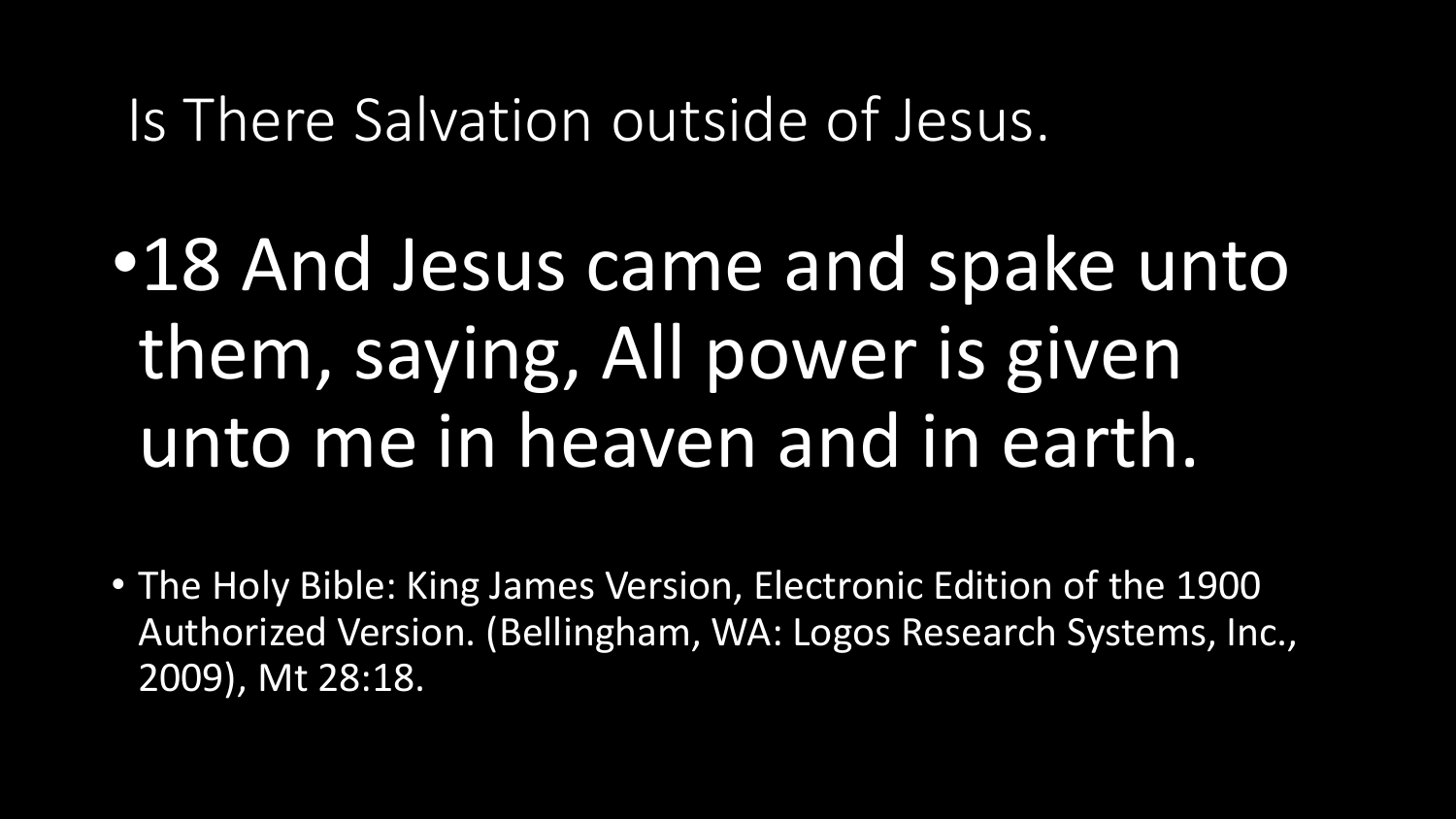#### Is There Salvation outside of Jesus.

•18 And Jesus came and spake unto them, saying, All power is given unto me in heaven and in earth.

• The Holy Bible: King James Version, Electronic Edition of the 1900 Authorized Version. (Bellingham, WA: Logos Research Systems, Inc., 2009), Mt 28:18.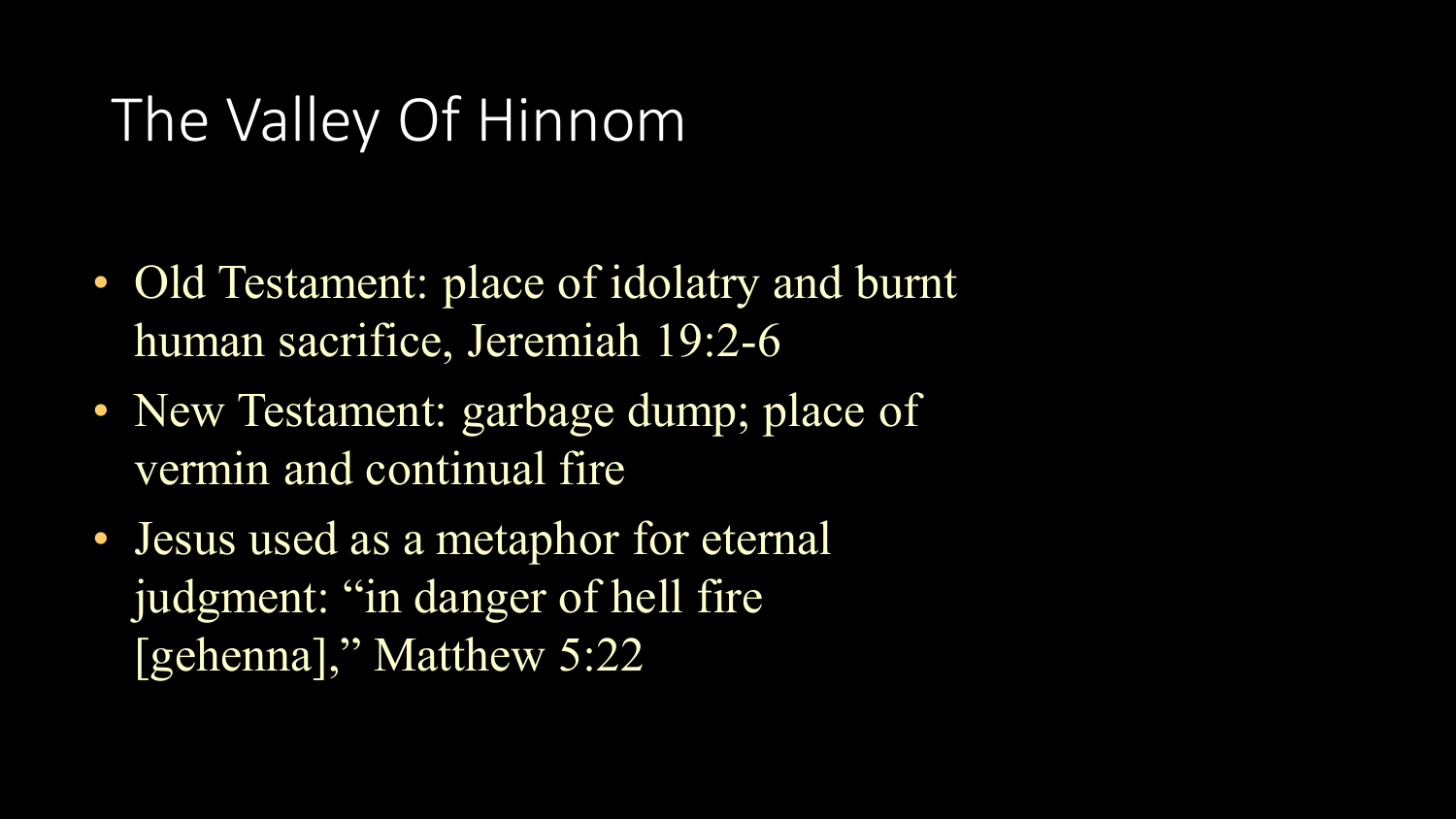## The Valley Of Hinnom

- Old Testament: place of idolatry and burnt human sacrifice, Jeremiah 19:2-6
- New Testament: garbage dump; place of vermin and continual fire
- Jesus used as a metaphor for eternal judgment: "in danger of hell fire [gehenna]," Matthew 5:22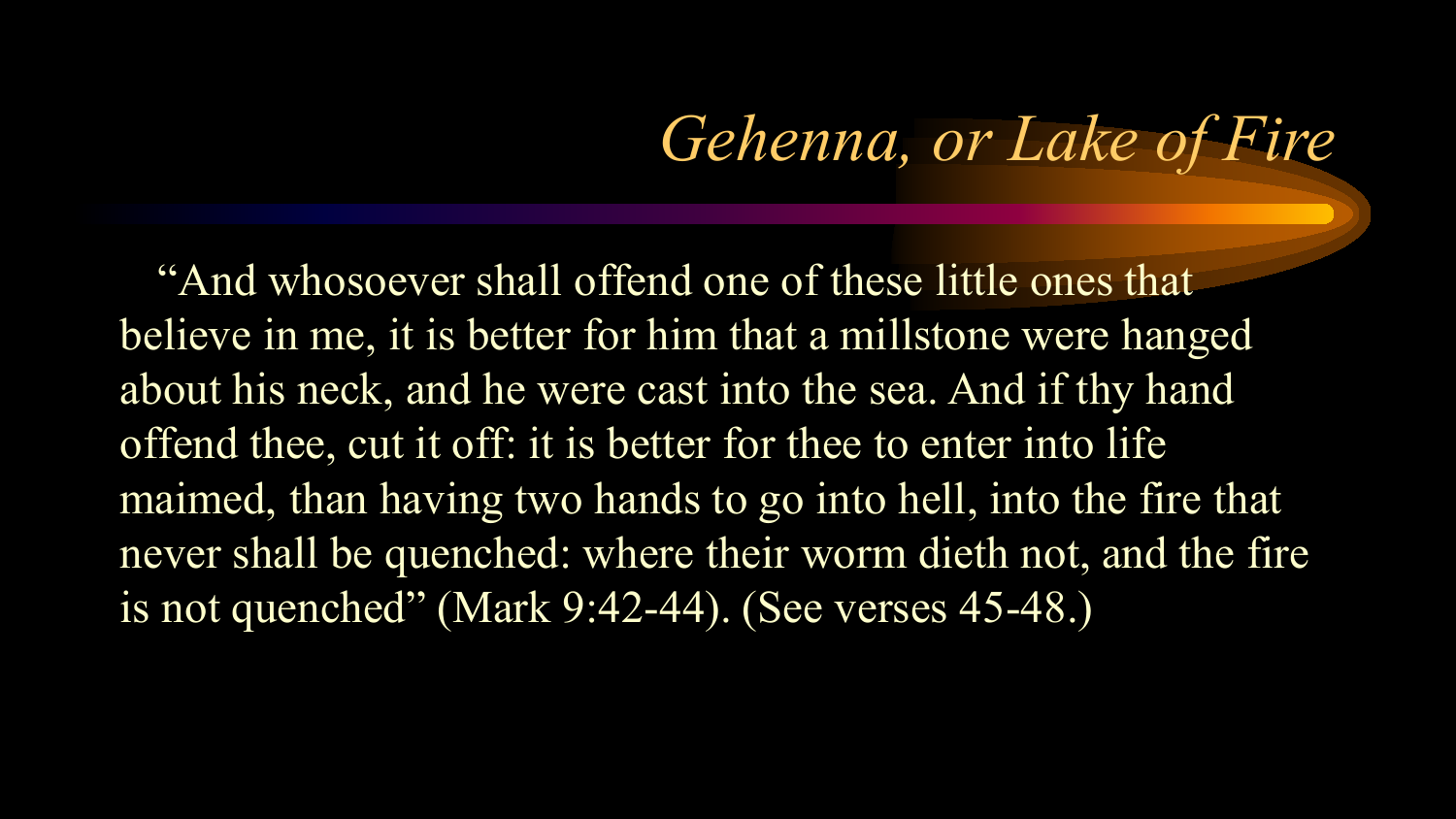## *Gehenna, or Lake of Fire*

"And whosoever shall offend one of these little ones that believe in me, it is better for him that a millstone were hanged about his neck, and he were cast into the sea. And if thy hand offend thee, cut it off: it is better for thee to enter into life maimed, than having two hands to go into hell, into the fire that never shall be quenched: where their worm dieth not, and the fire is not quenched" (Mark 9:42-44). (See verses 45-48.)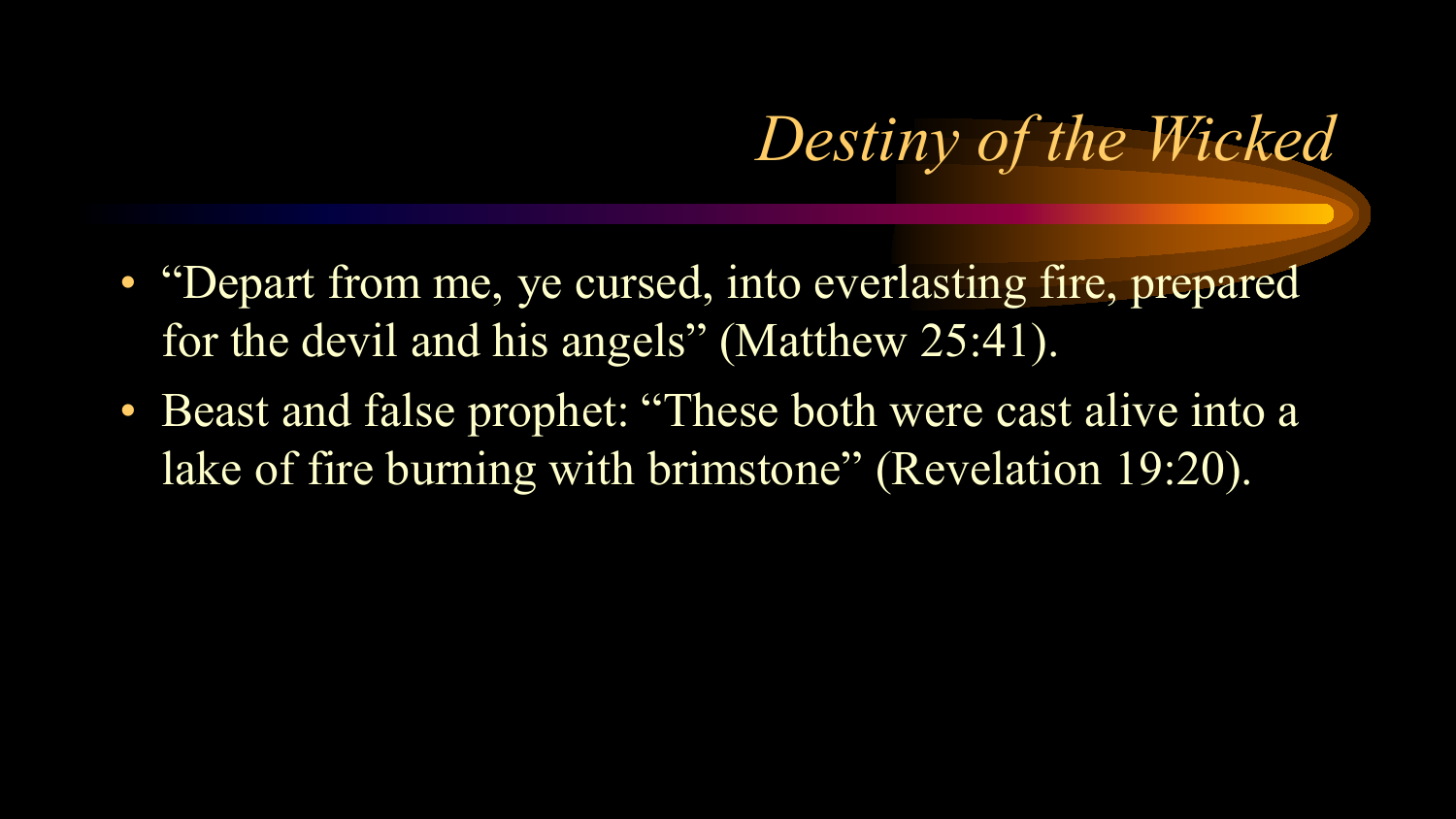## *Destiny of the Wicked*

- "Depart from me, ye cursed, into everlasting fire, prepared for the devil and his angels" (Matthew 25:41).
- Beast and false prophet: "These both were cast alive into a lake of fire burning with brimstone" (Revelation 19:20).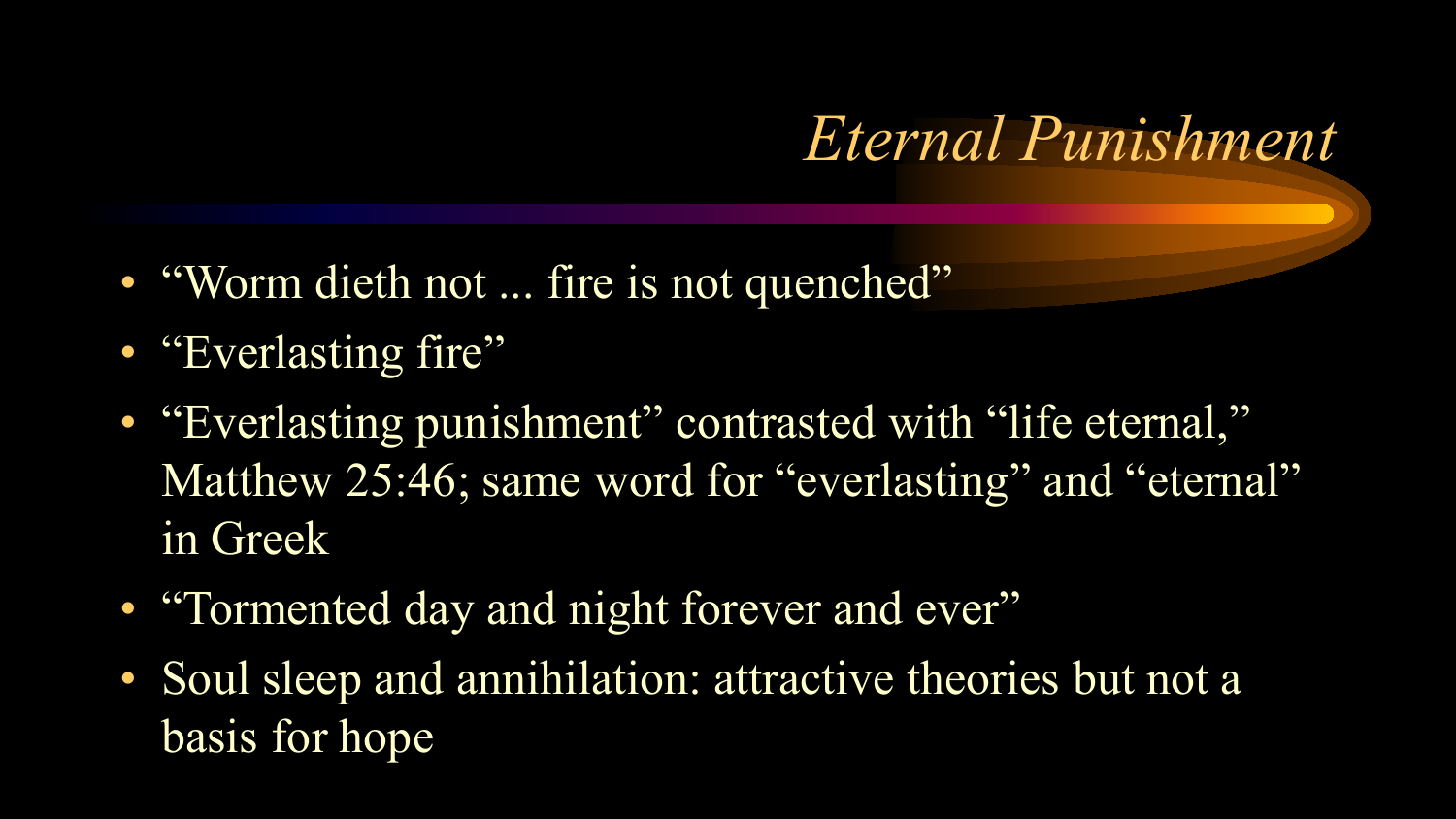## *Eternal Punishment*

- "Worm dieth not ... fire is not quenched"
- "Everlasting fire"
- "Everlasting punishment" contrasted with "life eternal," Matthew 25:46; same word for "everlasting" and "eternal" in Greek
- "Tormented day and night forever and ever"
- Soul sleep and annihilation: attractive theories but not a basis for hope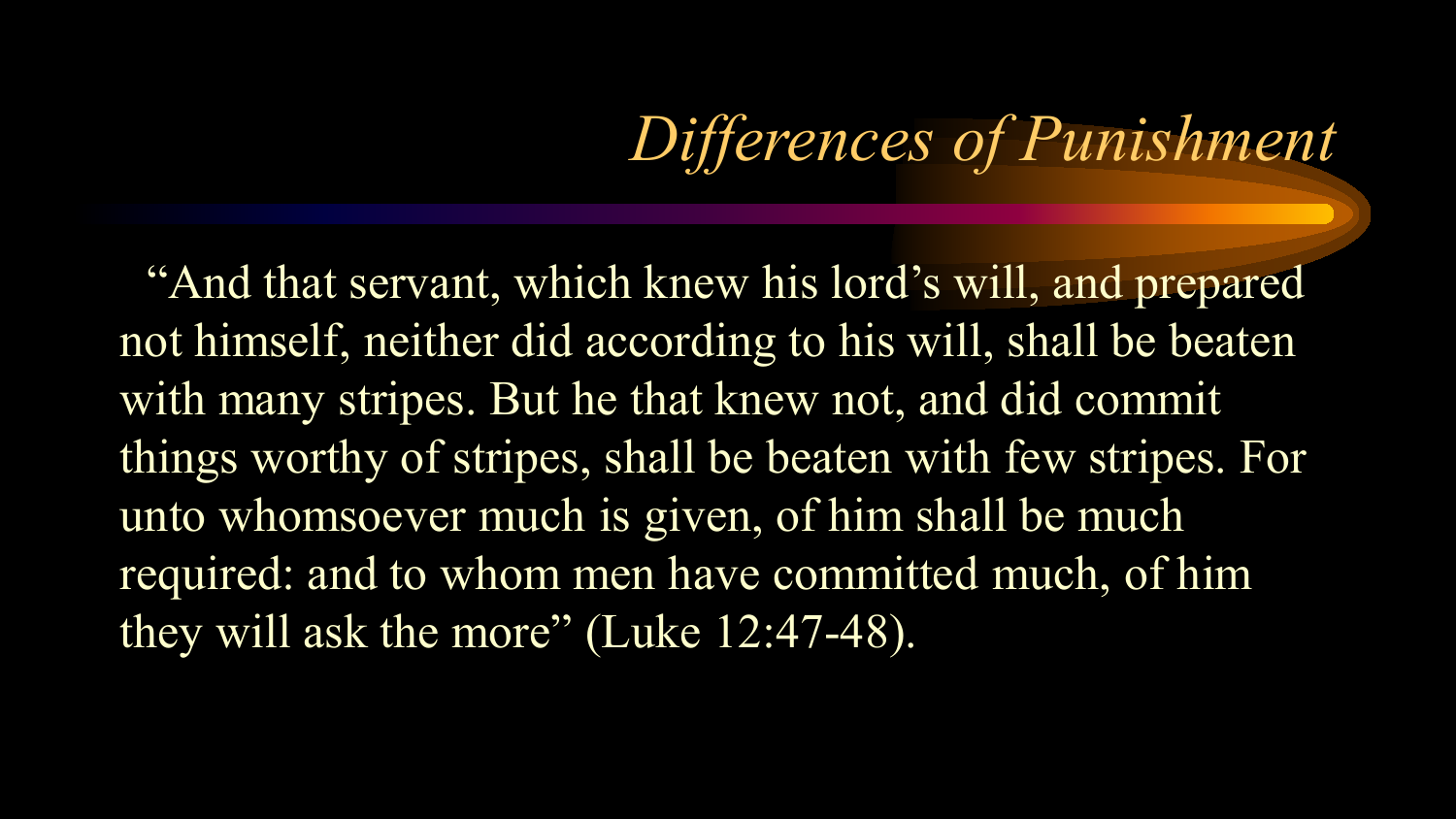*Differences of Punishment*

"And that servant, which knew his lord's will, and prepared not himself, neither did according to his will, shall be beaten with many stripes. But he that knew not, and did commit things worthy of stripes, shall be beaten with few stripes. For unto whomsoever much is given, of him shall be much required: and to whom men have committed much, of him they will ask the more" (Luke 12:47-48).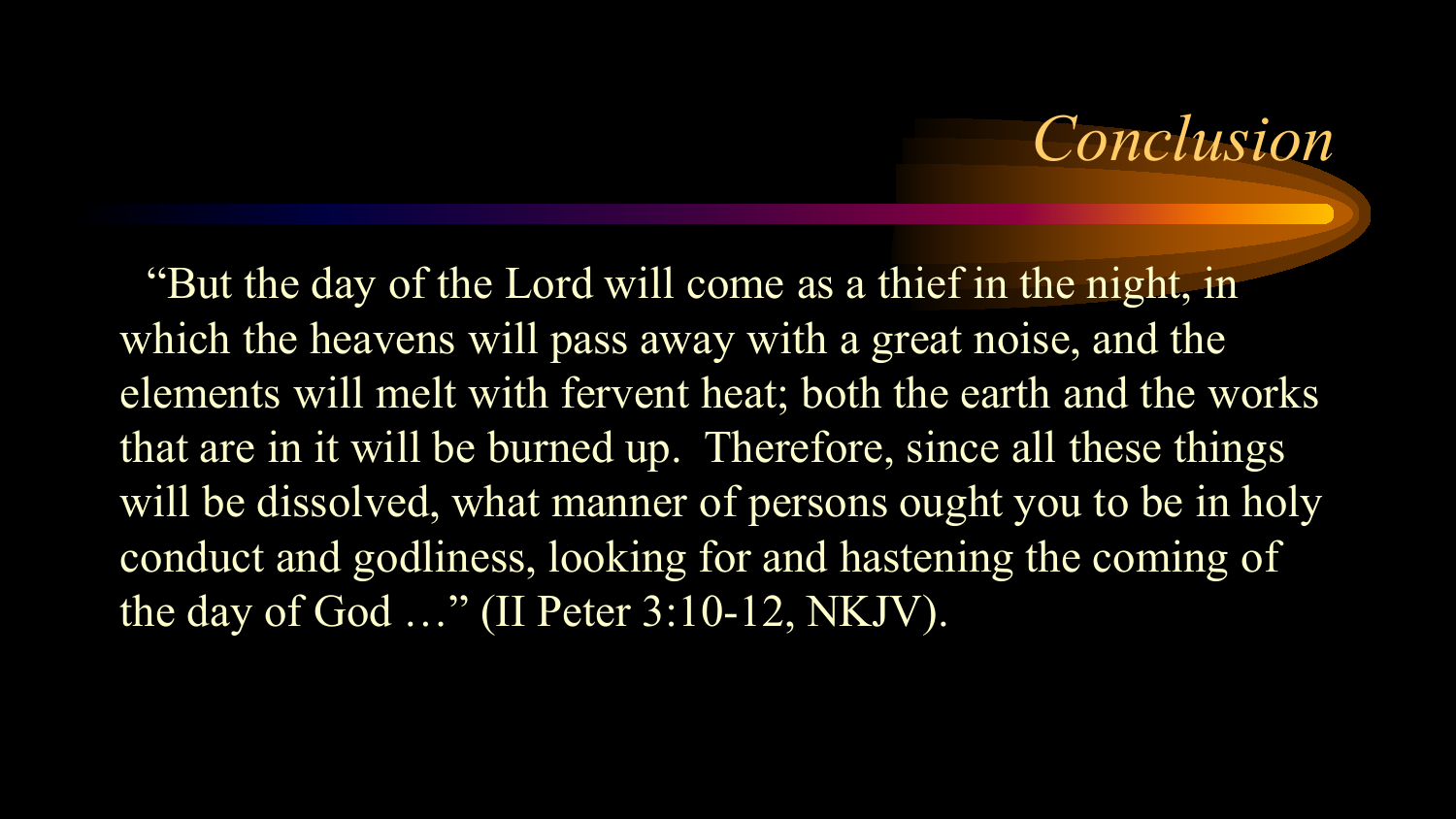## *Conclusion*

"But the day of the Lord will come as a thief in the night, in which the heavens will pass away with a great noise, and the elements will melt with fervent heat; both the earth and the works that are in it will be burned up. Therefore, since all these things will be dissolved, what manner of persons ought you to be in holy conduct and godliness, looking for and hastening the coming of the day of God …" (II Peter 3:10-12, NKJV).